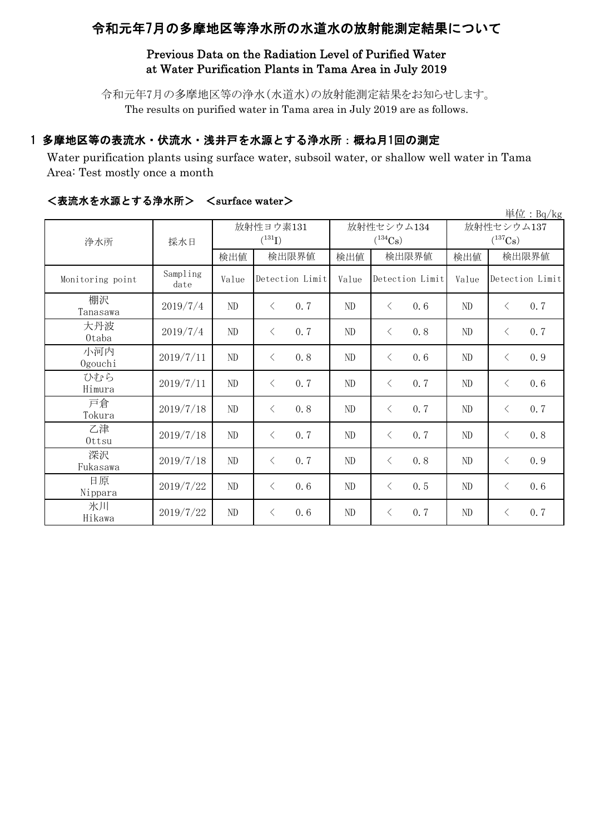# 令和元年7月の多摩地区等浄水所の水道水の放射能測定結果について

## Previous Data on the Radiation Level of Purified Water at Water Purification Plants in Tama Area in July 2019

令和元年7月の多摩地区等の浄水(水道水)の放射能測定結果をお知らせします。 The results on purified water in Tama area in July 2019 are as follows.

## 1 多摩地区等の表流水・伏流水・浅井戸を水源とする浄水所:概ね月1回の測定

Water purification plants using surface water, subsoil water, or shallow well water in Tama Area: Test mostly once a month

|                  |                  |          |                  |       |                       |                       | 単位: $Bq/kg$      |  |
|------------------|------------------|----------|------------------|-------|-----------------------|-----------------------|------------------|--|
| 浄水所              | 採水日              |          | 放射性ヨウ素131        |       | 放射性セシウム134            | 放射性セシウム137            |                  |  |
|                  |                  |          | $(^{131}I)$      |       | $(^{134}\mathrm{Cs})$ | $(^{137}\mathrm{Cs})$ |                  |  |
|                  |                  | 検出値      | 検出限界値            | 検出値   | 検出限界値                 | 検出値                   | 検出限界値            |  |
| Monitoring point | Sampling<br>date | Value    | Detection Limit  | Value | Detection Limit       | Value                 | Detection Limit  |  |
| 棚沢<br>Tanasawa   | 2019/7/4         | ND       | 0.7<br>$\langle$ | ND    | $\langle$<br>0.6      | ND                    | 0.7<br>$\langle$ |  |
| 大丹波<br>0taba     | 2019/7/4         | $\rm ND$ | 0.7<br>$\lt$     | ND    | 0.8<br>$\langle$      | ND                    | 0.7<br>$\langle$ |  |
| 小河内<br>Ogouchi   | 2019/7/11        | $\rm ND$ | 0.8<br>$\langle$ | ND    | 0.6<br>$\langle$      | ND                    | 0.9<br>$\langle$ |  |
| ひむら<br>Himura    | 2019/7/11        | $\rm ND$ | 0.7<br>$\langle$ | ND    | 0.7<br>$\langle$      | ND                    | 0.6<br>$\langle$ |  |
| 戸倉<br>Tokura     | 2019/7/18        | $\rm ND$ | 0.8<br>$\langle$ | ND    | 0.7<br>$\langle$      | ND                    | 0.7<br>$\langle$ |  |
| 乙津<br>Ottsu      | 2019/7/18        | ND       | 0.7<br>$\langle$ | ND    | $\langle$<br>0.7      | ND                    | 0.8<br>$\lt$     |  |
| 深沢<br>Fukasawa   | 2019/7/18        | $\rm ND$ | 0.7<br>$\lt$     | ND    | 0.8<br>$\langle$      | ND                    | 0.9<br>$\lt$     |  |
| 日原<br>Nippara    | 2019/7/22        | ND       | 0.6<br>$\lt$     | ND    | 0.5<br>$\langle$      | ND                    | 0.6<br>$\langle$ |  |
| 氷川<br>Hikawa     | 2019/7/22        | ND       | 0.6<br>$\lt$     | ND    | 0.7<br>$\lt$          | ND                    | 0.7<br>$\langle$ |  |

## <表流水を水源とする浄水所> <surface water>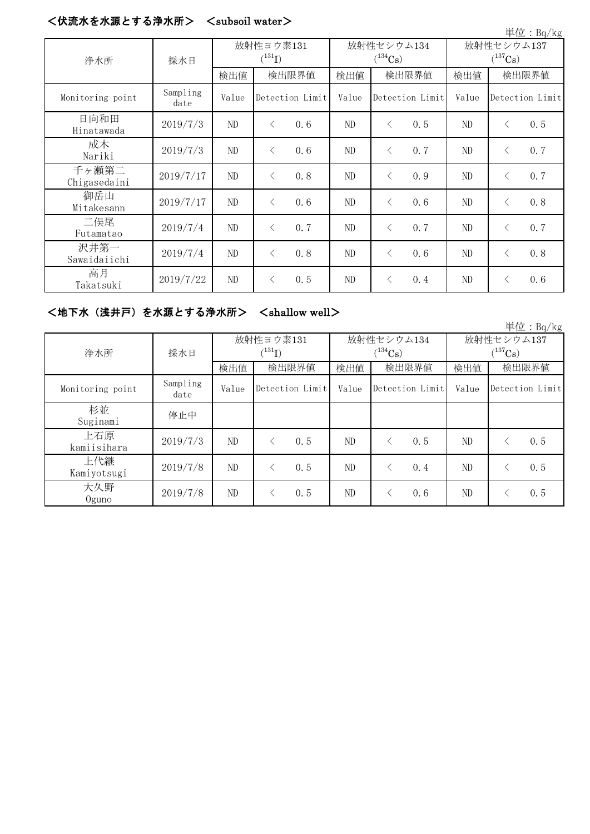#### <伏流水を水源とする浄水所> <subsoil water>

|                       |                  |                          |                 |     |                            |                 |     |                            |                 | 単位: Bq/kg |
|-----------------------|------------------|--------------------------|-----------------|-----|----------------------------|-----------------|-----|----------------------------|-----------------|-----------|
| 浄水所                   | 採水日              | 放射性ヨウ素131<br>$(^{131}I)$ |                 |     | 放射性セシウム134<br>$(^{134}Cs)$ |                 |     | 放射性セシウム137<br>$(^{137}Cs)$ |                 |           |
|                       |                  | 検出値                      | 検出限界値           |     | 検出値                        | 検出限界値           |     | 検出値                        | 検出限界値           |           |
| Monitoring point      | Sampling<br>date | Value                    | Detection Limit |     | Value                      | Detection Limit |     | Value                      | Detection Limit |           |
| 日向和田<br>Hinatawada    | 2019/7/3         | ND                       | $\langle$       | 0.6 | ND                         | $\lt$           | 0.5 | ND                         | $\langle$       | 0.5       |
| 成木<br>Nariki          | 2019/7/3         | ND                       | $\langle$       | 0.6 | ND                         | $\lt$           | 0.7 | ND                         | $\lt$           | 0.7       |
| 千ヶ瀬第二<br>Chigasedaini | 2019/7/17        | ND                       | $\langle$       | 0.8 | ND                         | $\langle$       | 0.9 | ND                         | $\langle$       | 0.7       |
| 御岳山<br>Mitakesann     | 2019/7/17        | ND                       | $\langle$       | 0.6 | ND                         | $\langle$       | 0.6 | ND                         | $\langle$       | 0.8       |
| 二俣尾<br>Futamatao      | 2019/7/4         | ND                       | $\lt$           | 0.7 | ND                         | $\lt$           | 0.7 | ND                         | $\lt$           | 0.7       |
| 沢井第一<br>Sawaidaiichi  | 2019/7/4         | ND                       | $\langle$       | 0.8 | ND                         | $\langle$       | 0.6 | ND.                        | $\langle$       | 0.8       |
| 高月<br>Takatsuki       | 2019/7/22        | ND                       | ⟨               | 0.5 | ND                         | $\lt$           | 0.4 | ND                         | $\langle$       | 0.6       |

## <地下水(浅井戸)を水源とする浄水所> <shallow well>

単位:Bq/kg 検出値 検出限界値 検出値 検出値 検出値 Monitoring point Sampling date Value Detection Limit Value Detection Limit Value 杉並 Suginami 停止中 上石原 kamiisihara  $2019/7/3$  ND <  $0.5$  ND <  $0.5$  ND <  $0.5$  ND <  $0.5$ 上代継 Kamiyotsugi  $2019/7/8$  ND  $\leq 0.5$  ND  $\leq 0.4$  ND  $\leq 0.5$ 大久野 Oguno  $2019/7/8$  ND < 0.5 ND < 0.6 ND < 0.5 検出限界値 | 検出限界値 | 検出値 | 検出限界値 放射性ヨウ素131  $(^{131}\text{I})$ 放射性セシウム134  $(^{134}Cs)$ 放射性セシウム137  $(^{137}Cs)$ 浄水所 | 採水日 Detection Limit